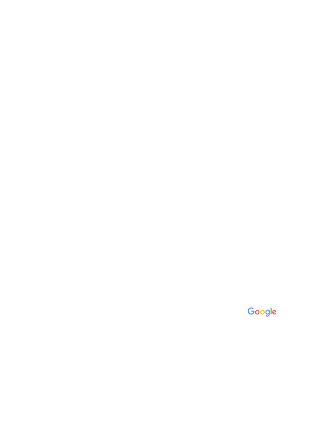## Google